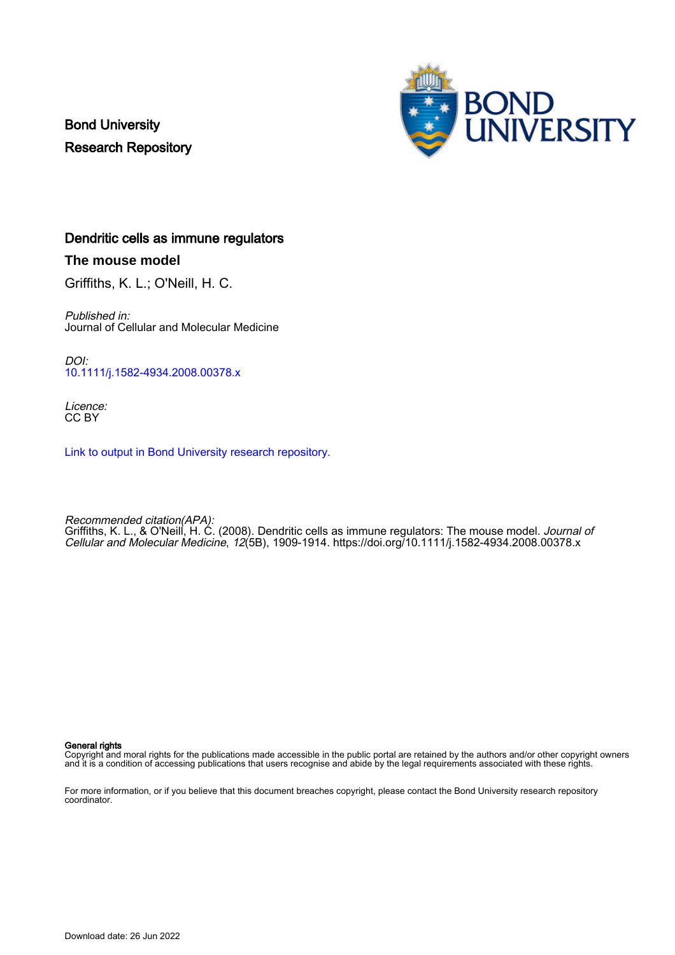Bond University Research Repository



#### Dendritic cells as immune regulators

**The mouse model**

Griffiths, K. L.; O'Neill, H. C.

Published in: Journal of Cellular and Molecular Medicine

DOI: [10.1111/j.1582-4934.2008.00378.x](https://doi.org/10.1111/j.1582-4934.2008.00378.x)

Licence: CC BY

[Link to output in Bond University research repository.](https://research.bond.edu.au/en/publications/7ea1fa05-f951-4f12-8f33-4cdd0016f447)

Recommended citation(APA): Griffiths, K. L., & O'Neill, H. C. (2008). Dendritic cells as immune regulators: The mouse model. *Journal of* Cellular and Molecular Medicine, 12(5B), 1909-1914. <https://doi.org/10.1111/j.1582-4934.2008.00378.x>

General rights

Copyright and moral rights for the publications made accessible in the public portal are retained by the authors and/or other copyright owners and it is a condition of accessing publications that users recognise and abide by the legal requirements associated with these rights.

For more information, or if you believe that this document breaches copyright, please contact the Bond University research repository coordinator.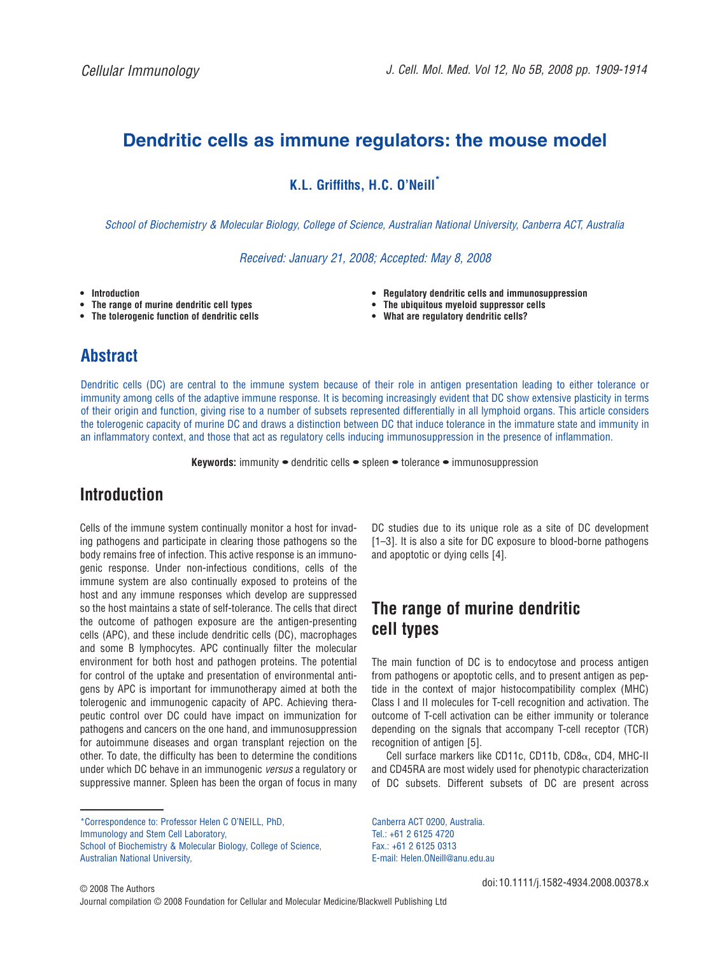#### **Dendritic cells as immune regulators: the mouse model**

**K.L. Griffiths, H.C. O'Neill\***

*School of Biochemistry & Molecular Biology, College of Science, Australian National University, Canberra ACT, Australia*

*Received: January 21, 2008; Accepted: May 8, 2008*

- **Introduction**
- **The range of murine dendritic cell types**
- **The tolerogenic function of dendritic cells**
- **Regulatory dendritic cells and immunosuppression**
- **The ubiquitous myeloid suppressor cells**
- **What are regulatory dendritic cells?**

## **Abstract**

*Dendritic cells (DC) are central to the immune system because of their role in antigen presentation leading to either tolerance or immunity among cells of the adaptive immune response. It is becoming increasingly evident that DC show extensive plasticity in terms of their origin and function, giving rise to a number of subsets represented differentially in all lymphoid organs. This article considers the tolerogenic capacity of murine DC and draws a distinction between DC that induce tolerance in the immature state and immunity in an inflammatory context, and those that act as regulatory cells inducing immunosuppression in the presence of inflammation.*

**Keywords:** *immunity • dendritic cells • spleen •tolerance •immunosuppression*

#### **Introduction**

*Cells of the immune system continually monitor a host for invading pathogens and participate in clearing those pathogens so the body remains free of infection. This active response is an immunogenic response. Under non-infectious conditions, cells of the immune system are also continually exposed to proteins of the host and any immune responses which develop are suppressed so the host maintains a state of self-tolerance. The cells that direct the outcome of pathogen exposure are the antigen-presenting cells (APC), and these include dendritic cells (DC), macrophages and some B lymphocytes. APC continually filter the molecular environment for both host and pathogen proteins. The potential for control of the uptake and presentation of environmental antigens by APC is important for immunotherapy aimed at both the tolerogenic and immunogenic capacity of APC. Achieving therapeutic control over DC could have impact on immunization for pathogens and cancers on the one hand, and immunosuppression for autoimmune diseases and organ transplant rejection on the other. To date, the difficulty has been to determine the conditions under which DC behave in an immunogenic versus a regulatory or suppressive manner. Spleen has been the organ of focus in many*

*\*Correspondence to: Professor Helen C O'NEILL, PhD,*

*Immunology and Stem Cell Laboratory,*

*School of Biochemistry & Molecular Biology, College of Science, Australian National University,*

*DC studies due to its unique role as a site of DC development [1–3]. It is also a site for DC exposure to blood-borne pathogens and apoptotic or dying cells [4].*

## **The range of murine dendritic cell types**

*The main function of DC is to endocytose and process antigen from pathogens or apoptotic cells, and to present antigen as peptide in the context of major histocompatibility complex (MHC) Class I and II molecules for T-cell recognition and activation. The outcome of T-cell activation can be either immunity or tolerance depending on the signals that accompany T-cell receptor (TCR) recognition of antigen [5].*

Cell surface markers like CD11c, CD11b, CD8α, CD4, MHC-II *and CD45RA are most widely used for phenotypic characterization of DC subsets. Different subsets of DC are present across*

*Canberra ACT 0200, Australia. Tel.: +61 2 6125 4720 Fax.: +61 2 6125 0313 E-mail: Helen.ONeill@anu.edu.au*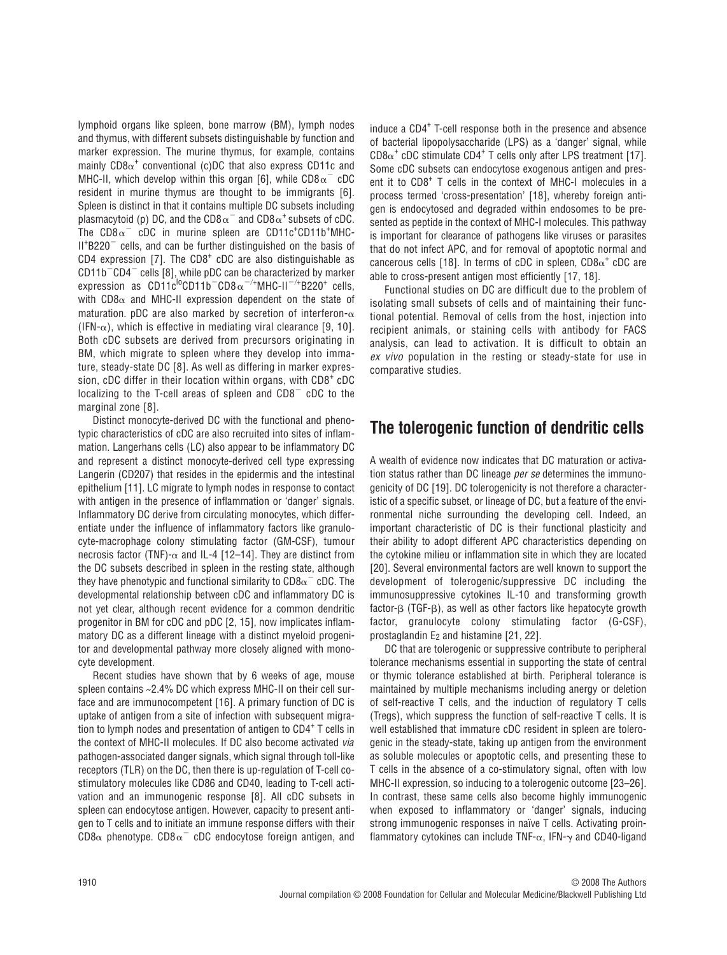*lymphoid organs like spleen, bone marrow (BM), lymph nodes and thymus, with different subsets distinguishable by function and marker expression. The murine thymus, for example, contains mainly CD8*-*<sup>+</sup> conventional (c)DC that also express CD11c and* MHC-II, which develop within this organ [6], while  $CD8\alpha^ \text{cDC}$ *resident in murine thymus are thought to be immigrants [6]. Spleen is distinct in that it contains multiple DC subsets including* plasmacytoid (p) DC, and the  $\texttt{CD8}\,\alpha^+$  and  $\texttt{CD8}\,\alpha^+$  subsets of cDC.  $The CO8\alpha^ \overline{c}DC$  in murine spleen are  $CD11c^+CD11b^+MHC^-$ *II+ B220 cells, and can be further distinguished on the basis of CD4 expression [7]. The CD8<sup>+</sup> cDC are also distinguishable as CD11bCD4 cells [8], while pDC can be characterized by marker*  $e$ xpression as  $CD11c^{10}CD11b$ <sup>-</sup>CD8 $\alpha^{-/4}$ MHC-II<sup>-/+</sup>B220<sup>+</sup> cells, with  $\mathsf{CD8}_\alpha$  and MHC-II expression dependent on the state of maturation. pDC are also marked by secretion of interferon- $\alpha$  $(IFN-\alpha)$ , which is effective in mediating viral clearance  $[9, 10]$ . *Both cDC subsets are derived from precursors originating in BM, which migrate to spleen where they develop into immature, steady-state DC [8]. As well as differing in marker expression, cDC differ in their location within organs, with CD8<sup>+</sup> cDC localizing to the T-cell areas of spleen and CD8 cDC to the marginal zone [8].*

*Distinct monocyte-derived DC with the functional and phenotypic characteristics of cDC are also recruited into sites of inflammation. Langerhans cells (LC) also appear to be inflammatory DC and represent a distinct monocyte-derived cell type expressing Langerin (CD207) that resides in the epidermis and the intestinal epithelium [11]. LC migrate to lymph nodes in response to contact with antigen in the presence of inflammation or 'danger' signals. Inflammatory DC derive from circulating monocytes, which differentiate under the influence of inflammatory factors like granulocyte-macrophage colony stimulating factor (GM-CSF), tumour* necrosis factor (TNF)-α and IL-4 [12–14]. They are distinct from *the DC subsets described in spleen in the resting state, although* they have phenotypic and functional similarity to  $\mathsf{CD8}\alpha^+$   $\mathsf{cDC}.$  The *developmental relationship between cDC and inflammatory DC is not yet clear, although recent evidence for a common dendritic progenitor in BM for cDC and pDC [2, 15], now implicates inflammatory DC as a different lineage with a distinct myeloid progenitor and developmental pathway more closely aligned with monocyte development.*

*Recent studies have shown that by 6 weeks of age, mouse spleen contains ~2.4% DC which express MHC-II on their cell surface and are immunocompetent [16]. A primary function of DC is uptake of antigen from a site of infection with subsequent migration to lymph nodes and presentation of antigen to CD4<sup>+</sup> T cells in the context of MHC-II molecules. If DC also become activated via pathogen-associated danger signals, which signal through toll-like receptors (TLR) on the DC, then there is up-regulation of T-cell costimulatory molecules like CD86 and CD40, leading to T-cell activation and an immunogenic response [8]. All cDC subsets in spleen can endocytose antigen. However, capacity to present antigen to T cells and to initiate an immune response differs with their*  $CD8\alpha$  phenotype.  $CD8\alpha^ CDC$  endocytose foreign antigen, and

*induce a CD4<sup>+</sup> T-cell response both in the presence and absence of bacterial lipopolysaccharide (LPS) as a 'danger' signal, while CD8*-*<sup>+</sup> cDC stimulate CD4+ T cells only after LPS treatment [17]. Some cDC subsets can endocytose exogenous antigen and present it to CD8+ T cells in the context of MHC-I molecules in a process termed 'cross-presentation' [18], whereby foreign antigen is endocytosed and degraded within endosomes to be presented as peptide in the context of MHC-I molecules. This pathway is important for clearance of pathogens like viruses or parasites that do not infect APC, and for removal of apoptotic normal and*  $c$ ancerous cells [18]. In terms of cDC in spleen, CD8 $\alpha^+$  cDC are *able to cross-present antigen most efficiently [17, 18].*

*Functional studies on DC are difficult due to the problem of isolating small subsets of cells and of maintaining their functional potential. Removal of cells from the host, injection into recipient animals, or staining cells with antibody for FACS analysis, can lead to activation. It is difficult to obtain an ex vivo population in the resting or steady-state for use in comparative studies.*

## **The tolerogenic function of dendritic cells**

*A wealth of evidence now indicates that DC maturation or activation status rather than DC lineage per se determines the immunogenicity of DC [19]. DC tolerogenicity is not therefore a characteristic of a specific subset, or lineage of DC, but a feature of the environmental niche surrounding the developing cell. Indeed, an important characteristic of DC is their functional plasticity and their ability to adopt different APC characteristics depending on the cytokine milieu or inflammation site in which they are located [20]. Several environmental factors are well known to support the development of tolerogenic/suppressive DC including the immunosuppressive cytokines IL-10 and transforming growth factor- (TGF-), as well as other factors like hepatocyte growth factor, granulocyte colony stimulating factor (G-CSF), prostaglandin E2 and histamine [21, 22].*

*DC that are tolerogenic or suppressive contribute to peripheral tolerance mechanisms essential in supporting the state of central or thymic tolerance established at birth. Peripheral tolerance is maintained by multiple mechanisms including anergy or deletion of self-reactive T cells, and the induction of regulatory T cells (Tregs), which suppress the function of self-reactive T cells. It is well established that immature cDC resident in spleen are tolerogenic in the steady-state, taking up antigen from the environment as soluble molecules or apoptotic cells, and presenting these to T cells in the absence of a co-stimulatory signal, often with low MHC-II expression, so inducing to a tolerogenic outcome [23–26]. In contrast, these same cells also become highly immunogenic when exposed to inflammatory or 'danger' signals, inducing strong immunogenic responses in naïve T cells. Activating proinflammatory cytokines can include TNF-α, IFN-γ and CD40-ligand*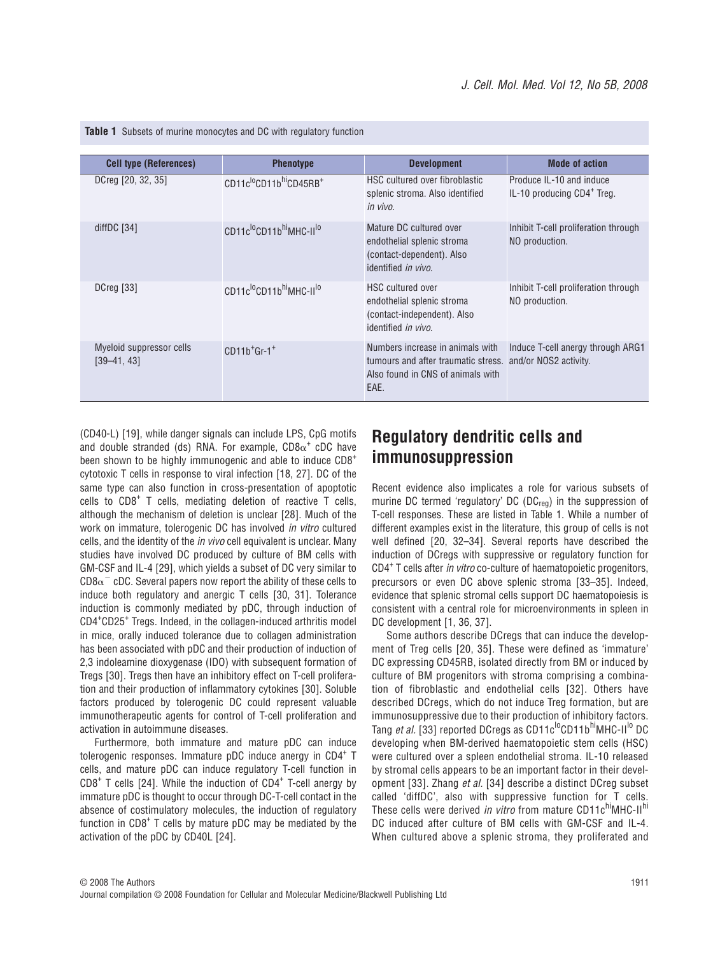| <b>Cell type (References)</b>               | <b>Phenotype</b>                            | <b>Development</b>                                                                                                                         | <b>Mode of action</b>                                              |
|---------------------------------------------|---------------------------------------------|--------------------------------------------------------------------------------------------------------------------------------------------|--------------------------------------------------------------------|
| DCreg [20, 32, 35]                          | $CD11c^{lo}CD11b^{hi}CD45RB^+$              | HSC cultured over fibroblastic<br>splenic stroma. Also identified<br>in vivo.                                                              | Produce IL-10 and induce<br>IL-10 producing CD4 <sup>+</sup> Treg. |
| diffDC $[34]$                               | $CD11c^{10}CD11b^{11}MHC-II^{10}$           | Mature DC cultured over<br>endothelial splenic stroma<br>(contact-dependent). Also<br>identified in vivo.                                  | Inhibit T-cell proliferation through<br>NO production.             |
| DCreg [33]                                  | $CD11c^{10}CD11b^{hi}$ MHC-II <sup>Io</sup> | <b>HSC</b> cultured over<br>endothelial splenic stroma<br>(contact-independent). Also<br>identified in vivo.                               | Inhibit T-cell proliferation through<br>NO production.             |
| Myeloid suppressor cells<br>$[39 - 41, 43]$ | $CD11b$ <sup>+</sup> Gr-1 <sup>+</sup>      | Numbers increase in animals with<br>tumours and after traumatic stress. and/or NOS2 activity.<br>Also found in CNS of animals with<br>EAE. | Induce T-cell anergy through ARG1                                  |

**Table 1** *Subsets of murine monocytes and DC with regulatory function*

*(CD40-L) [19], while danger signals can include LPS, CpG motifs and double stranded (ds) RNA. For example, CD8*-*<sup>+</sup> cDC have been shown to be highly immunogenic and able to induce CD8<sup>+</sup> cytotoxic T cells in response to viral infection [18, 27]. DC of the same type can also function in cross-presentation of apoptotic cells to CD8+ T cells, mediating deletion of reactive T cells, although the mechanism of deletion is unclear [28]. Much of the work on immature, tolerogenic DC has involved in vitro cultured cells, and the identity of the in vivo cell equivalent is unclear. Many studies have involved DC produced by culture of BM cells with GM-CSF and IL-4 [29], which yields a subset of DC very similar to CD8*- *cDC. Several papers now report the ability of these cells to induce both regulatory and anergic T cells [30, 31]. Tolerance induction is commonly mediated by pDC, through induction of CD4<sup>+</sup> CD25<sup>+</sup> Tregs. Indeed, in the collagen-induced arthritis model in mice, orally induced tolerance due to collagen administration has been associated with pDC and their production of induction of 2,3 indoleamine dioxygenase (IDO) with subsequent formation of Tregs [30]. Tregs then have an inhibitory effect on T-cell proliferation and their production of inflammatory cytokines [30]. Soluble factors produced by tolerogenic DC could represent valuable immunotherapeutic agents for control of T-cell proliferation and activation in autoimmune diseases.*

*Furthermore, both immature and mature pDC can induce tolerogenic responses. Immature pDC induce anergy in CD4+ T cells, and mature pDC can induce regulatory T-cell function in CD8<sup>+</sup> T cells [24]. While the induction of CD4<sup>+</sup> T-cell anergy by immature pDC is thought to occur through DC-T-cell contact in the absence of costimulatory molecules, the induction of regulatory function in CD8<sup>+</sup> T cells by mature pDC may be mediated by the activation of the pDC by CD40L [24].*

# **Regulatory dendritic cells and immunosuppression**

*Recent evidence also implicates a role for various subsets of murine DC termed 'regulatory' DC (DCreg) in the suppression of T-cell responses. These are listed in Table 1. While a number of different examples exist in the literature, this group of cells is not well defined [20, 32–34]. Several reports have described the induction of DCregs with suppressive or regulatory function for CD4+ T cells after in vitro co-culture of haematopoietic progenitors, precursors or even DC above splenic stroma [33–35]. Indeed, evidence that splenic stromal cells support DC haematopoiesis is consistent with a central role for microenvironments in spleen in DC development [1, 36, 37].*

*Some authors describe DCregs that can induce the development of Treg cells [20, 35]. These were defined as 'immature' DC expressing CD45RB, isolated directly from BM or induced by culture of BM progenitors with stroma comprising a combination of fibroblastic and endothelial cells [32]. Others have described DCregs, which do not induce Treg formation, but are immunosuppressive due to their production of inhibitory factors. Tang et al.* [33] reported DCregs as CD11c<sup>lo</sup>CD11b<sup>hi</sup>MHC-II<sup>Io</sup> DC *developing when BM-derived haematopoietic stem cells (HSC) were cultured over a spleen endothelial stroma. IL-10 released by stromal cells appears to be an important factor in their development [33]. Zhang et al. [34] describe a distinct DCreg subset called 'diffDC', also with suppressive function for T cells. These cells were derived in vitro from mature CD11chiMHC-IIhi DC induced after culture of BM cells with GM-CSF and IL-4. When cultured above a splenic stroma, they proliferated and*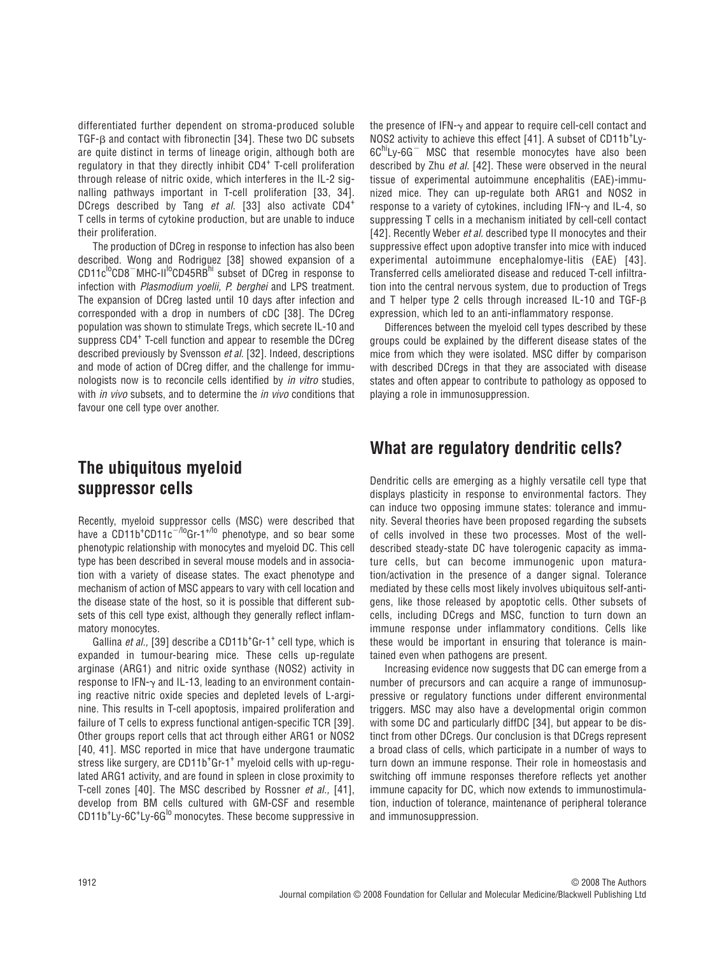*differentiated further dependent on stroma-produced soluble TGF- and contact with fibronectin [34]. These two DC subsets are quite distinct in terms of lineage origin, although both are regulatory in that they directly inhibit CD4<sup>+</sup> T-cell proliferation through release of nitric oxide, which interferes in the IL-2 signalling pathways important in T-cell proliferation [33, 34]. DCregs described by Tang et al. [33] also activate CD4<sup>+</sup> T cells in terms of cytokine production, but are unable to induce their proliferation.*

*The production of DCreg in response to infection has also been described. Wong and Rodriguez [38] showed expansion of a CD11cloCD8MHC-IIloCD45RBhi subset of DCreg in response to infection with Plasmodium yoelii, P. berghei and LPS treatment. The expansion of DCreg lasted until 10 days after infection and corresponded with a drop in numbers of cDC [38]. The DCreg population was shown to stimulate Tregs, which secrete IL-10 and suppress CD4+ T-cell function and appear to resemble the DCreg described previously by Svensson et al. [32]. Indeed, descriptions and mode of action of DCreg differ, and the challenge for immunologists now is to reconcile cells identified by in vitro studies, with in vivo subsets, and to determine the in vivo conditions that favour one cell type over another.*

#### **The ubiquitous myeloid suppressor cells**

*Recently, myeloid suppressor cells (MSC) were described that have a CD11b<sup>+</sup> CD11c/loGr-1+/lo phenotype, and so bear some phenotypic relationship with monocytes and myeloid DC. This cell type has been described in several mouse models and in association with a variety of disease states. The exact phenotype and mechanism of action of MSC appears to vary with cell location and the disease state of the host, so it is possible that different subsets of this cell type exist, although they generally reflect inflammatory monocytes.*

*Gallina et al., [39] describe a CD11b<sup>+</sup> Gr-1<sup>+</sup> cell type, which is expanded in tumour-bearing mice. These cells up-regulate arginase (ARG1) and nitric oxide synthase (NOS2) activity in response to IFN-* $\gamma$  and IL-13, leading to an environment contain*ing reactive nitric oxide species and depleted levels of L-arginine. This results in T-cell apoptosis, impaired proliferation and failure of T cells to express functional antigen-specific TCR [39]. Other groups report cells that act through either ARG1 or NOS2 [40, 41]. MSC reported in mice that have undergone traumatic stress like surgery, are CD11b<sup>+</sup> Gr-1<sup>+</sup> myeloid cells with up-regulated ARG1 activity, and are found in spleen in close proximity to T-cell zones [40]. The MSC described by Rossner et al., [41], develop from BM cells cultured with GM-CSF and resemble CD11b<sup>+</sup> Ly-6C<sup>+</sup> Ly-6Glo monocytes. These become suppressive in*

*the presence of IFN- and appear to require cell-cell contact and NOS2 activity to achieve this effect [41]. A subset of CD11b<sup>+</sup> Ly-6ChiLy-6G MSC that resemble monocytes have also been described by Zhu et al. [42]. These were observed in the neural tissue of experimental autoimmune encephalitis (EAE)-immunized mice. They can up-regulate both ARG1 and NOS2 in response to a variety of cytokines, including IFN-* $\gamma$  *and IL-4, so suppressing T cells in a mechanism initiated by cell-cell contact [42]. Recently Weber et al. described type II monocytes and their suppressive effect upon adoptive transfer into mice with induced experimental autoimmune encephalomye-litis (EAE) [43]. Transferred cells ameliorated disease and reduced T-cell infiltration into the central nervous system, due to production of Tregs and T helper type 2 cells through increased IL-10 and TGF expression, which led to an anti-inflammatory response.*

*Differences between the myeloid cell types described by these groups could be explained by the different disease states of the mice from which they were isolated. MSC differ by comparison with described DCregs in that they are associated with disease states and often appear to contribute to pathology as opposed to playing a role in immunosuppression.*

#### **What are regulatory dendritic cells?**

*Dendritic cells are emerging as a highly versatile cell type that displays plasticity in response to environmental factors. They can induce two opposing immune states: tolerance and immunity. Several theories have been proposed regarding the subsets of cells involved in these two processes. Most of the welldescribed steady-state DC have tolerogenic capacity as immature cells, but can become immunogenic upon maturation/activation in the presence of a danger signal. Tolerance mediated by these cells most likely involves ubiquitous self-antigens, like those released by apoptotic cells. Other subsets of cells, including DCregs and MSC, function to turn down an immune response under inflammatory conditions. Cells like these would be important in ensuring that tolerance is maintained even when pathogens are present.*

*Increasing evidence now suggests that DC can emerge from a number of precursors and can acquire a range of immunosuppressive or regulatory functions under different environmental triggers. MSC may also have a developmental origin common with some DC and particularly diffDC [34], but appear to be distinct from other DCregs. Our conclusion is that DCregs represent a broad class of cells, which participate in a number of ways to turn down an immune response. Their role in homeostasis and switching off immune responses therefore reflects yet another immune capacity for DC, which now extends to immunostimulation, induction of tolerance, maintenance of peripheral tolerance and immunosuppression.*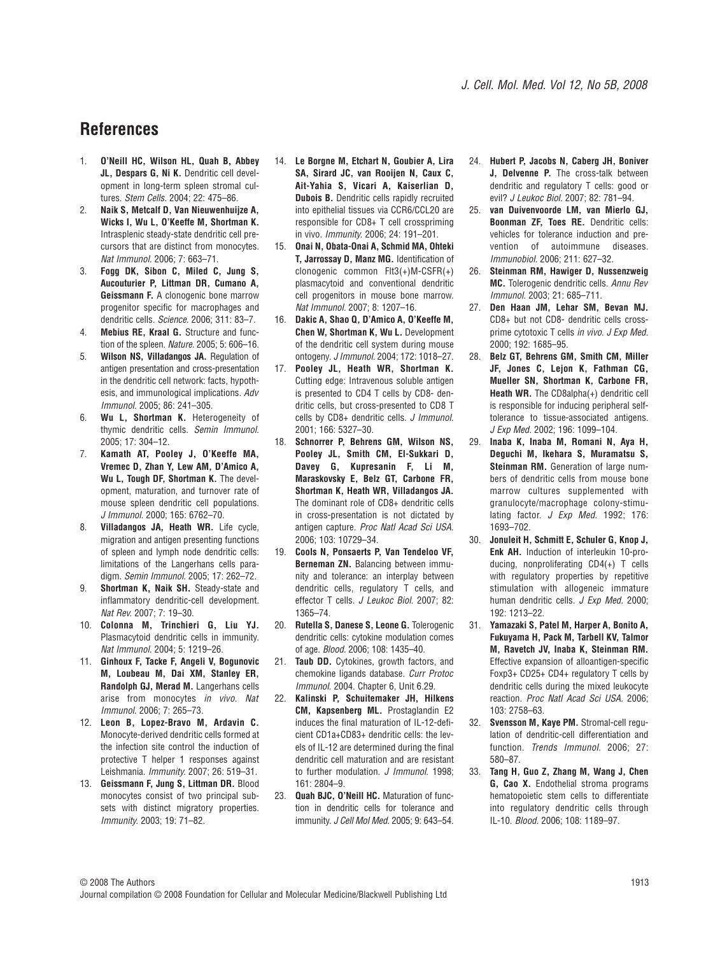#### **References**

- *1.* **O'Neill HC, Wilson HL, Quah B, Abbey JL, Despars G, Ni K.** *Dendritic cell development in long-term spleen stromal cultures. Stem Cells. 2004; 22: 475–86.*
- *2.* **Naik S, Metcalf D, Van Nieuwenhuijze A, Wicks I, Wu L, O'Keeffe M, Shortman K.** *Intrasplenic steady-state dendritic cell precursors that are distinct from monocytes. Nat Immunol. 2006; 7: 663–71.*
- *3.* **Fogg DK, Sibon C, Miled C, Jung S, Aucouturier P, Littman DR, Cumano A, Geissmann F.** *A clonogenic bone marrow progenitor specific for macrophages and dendritic cells. Science. 2006; 311: 83–7.*
- *4.* **Mebius RE, Kraal G.** *Structure and function of the spleen. Nature. 2005; 5: 606–16.*
- *5.* **Wilson NS, Villadangos JA.** *Regulation of antigen presentation and cross-presentation in the dendritic cell network: facts, hypothesis, and immunological implications. Adv Immunol. 2005; 86: 241–305.*
- *6.* **Wu L, Shortman K.** *Heterogeneity of thymic dendritic cells. Semin Immunol. 2005; 17: 304–12.*
- *7.* **Kamath AT, Pooley J, O'Keeffe MA, Vremec D, Zhan Y, Lew AM, D'Amico A, Wu L, Tough DF, Shortman K.** *The development, maturation, and turnover rate of mouse spleen dendritic cell populations. J Immunol. 2000; 165: 6762–70.*
- *8.* **Villadangos JA, Heath WR.** *Life cycle, migration and antigen presenting functions of spleen and lymph node dendritic cells: limitations of the Langerhans cells paradigm. Semin Immunol. 2005; 17: 262–72.*
- *9.* **Shortman K, Naik SH.** *Steady-state and inflammatory dendritic-cell development. Nat Rev. 2007; 7: 19–30.*
- *10.* **Colonna M, Trinchieri G, Liu YJ.** *Plasmacytoid dendritic cells in immunity. Nat Immunol. 2004; 5: 1219–26.*
- *11.* **Ginhoux F, Tacke F, Angeli V, Bogunovic M, Loubeau M, Dai XM, Stanley ER, Randolph GJ, Merad M.** *Langerhans cells arise from monocytes in vivo. Nat Immunol. 2006; 7: 265–73.*
- *12.* **Leon B, Lopez-Bravo M, Ardavin C.** *Monocyte-derived dendritic cells formed at the infection site control the induction of protective T helper 1 responses against Leishmania. Immunity. 2007; 26: 519–31.*
- *13.* **Geissmann F, Jung S, Littman DR.** *Blood monocytes consist of two principal subsets with distinct migratory properties. Immunity. 2003; 19: 71–82.*
- *14.* **Le Borgne M, Etchart N, Goubier A, Lira SA, Sirard JC, van Rooijen N, Caux C, Ait-Yahia S, Vicari A, Kaiserlian D, Dubois B.** *Dendritic cells rapidly recruited into epithelial tissues via CCR6/CCL20 are responsible for CD8+ T cell crosspriming in vivo. Immunity. 2006; 24: 191–201.*
- *15.* **Onai N, Obata-Onai A, Schmid MA, Ohteki T, Jarrossay D, Manz MG.** *Identification of clonogenic common Flt3(+)M-CSFR(+) plasmacytoid and conventional dendritic cell progenitors in mouse bone marrow. Nat Immunol. 2007; 8: 1207–16.*
- *16.* **Dakic A, Shao Q, D'Amico A, O'Keeffe M, Chen W, Shortman K, Wu L.** *Development of the dendritic cell system during mouse ontogeny. J Immunol. 2004; 172: 1018–27.*
- *17.* **Pooley JL, Heath WR, Shortman K.** *Cutting edge: Intravenous soluble antigen is presented to CD4 T cells by CD8- dendritic cells, but cross-presented to CD8 T cells by CD8+ dendritic cells. J Immunol. 2001; 166: 5327–30.*
- *18.* **Schnorrer P, Behrens GM, Wilson NS, Pooley JL, Smith CM, El-Sukkari D, Davey G, Kupresanin F, Li M, Maraskovsky E, Belz GT, Carbone FR, Shortman K, Heath WR, Villadangos JA.** *The dominant role of CD8+ dendritic cells in cross-presentation is not dictated by antigen capture. Proc Natl Acad Sci USA. 2006; 103: 10729–34.*
- *19.* **Cools N, Ponsaerts P, Van Tendeloo VF, Berneman ZN.** *Balancing between immunity and tolerance: an interplay between dendritic cells, regulatory T cells, and effector T cells. J Leukoc Biol. 2007; 82: 1365–74.*
- *20.* **Rutella S, Danese S, Leone G.** *Tolerogenic dendritic cells: cytokine modulation comes of age. Blood. 2006; 108: 1435–40.*
- *21.* **Taub DD.** *Cytokines, growth factors, and chemokine ligands database. Curr Protoc Immunol. 2004. Chapter 6, Unit 6.29.*
- *22.* **Kalinski P, Schuitemaker JH, Hilkens CM, Kapsenberg ML.** *Prostaglandin E2 induces the final maturation of IL-12-deficient CD1a+CD83+ dendritic cells: the levels of IL-12 are determined during the final dendritic cell maturation and are resistant to further modulation. J Immunol. 1998; 161: 2804–9.*
- *23.* **Quah BJC, O'Neill HC.** *Maturation of function in dendritic cells for tolerance and immunity. J Cell Mol Med. 2005; 9: 643–54.*
- *24.* **Hubert P, Jacobs N, Caberg JH, Boniver J, Delvenne P.** *The cross-talk between dendritic and regulatory T cells: good or evil? J Leukoc Biol. 2007; 82: 781–94.*
- *25.* **van Duivenvoorde LM, van Mierlo GJ, Boonman ZF, Toes RE.** *Dendritic cells: vehicles for tolerance induction and prevention of autoimmune diseases. Immunobiol. 2006; 211: 627–32.*
- *26.* **Steinman RM, Hawiger D, Nussenzweig MC.** *Tolerogenic dendritic cells. Annu Rev Immunol. 2003; 21: 685–711.*
- *27.* **Den Haan JM, Lehar SM, Bevan MJ.** *CD8+ but not CD8- dendritic cells crossprime cytotoxic T cells in vivo. J Exp Med. 2000; 192: 1685–95.*
- *28.* **Belz GT, Behrens GM, Smith CM, Miller JF, Jones C, Lejon K, Fathman CG, Mueller SN, Shortman K, Carbone FR, Heath WR.** *The CD8alpha(+) dendritic cell is responsible for inducing peripheral selftolerance to tissue-associated antigens. J Exp Med. 2002; 196: 1099–104.*
- *29.* **Inaba K, Inaba M, Romani N, Aya H, Deguchi M, Ikehara S, Muramatsu S, Steinman RM.** *Generation of large numbers of dendritic cells from mouse bone marrow cultures supplemented with granulocyte/macrophage colony-stimulating factor. J Exp Med. 1992; 176: 1693–702.*
- *30.* **Jonuleit H, Schmitt E, Schuler G, Knop J, Enk AH.** *Induction of interleukin 10-producing, nonproliferating CD4(+) T cells with regulatory properties by repetitive stimulation with allogeneic immature human dendritic cells. J Exp Med. 2000; 192: 1213–22.*
- *31.* **Yamazaki S, Patel M, Harper A, Bonito A, Fukuyama H, Pack M, Tarbell KV, Talmor M, Ravetch JV, Inaba K, Steinman RM.** *Effective expansion of alloantigen-specific Foxp3+ CD25+ CD4+ regulatory T cells by dendritic cells during the mixed leukocyte reaction. Proc Natl Acad Sci USA. 2006; 103: 2758–63.*
- *32.* **Svensson M, Kaye PM.** *Stromal-cell regulation of dendritic-cell differentiation and function. Trends Immunol. 2006; 27: 580–87.*
- *33.* **Tang H, Guo Z, Zhang M, Wang J, Chen G, Cao X.** *Endothelial stroma programs hematopoietic stem cells to differentiate into regulatory dendritic cells through IL-10. Blood. 2006; 108: 1189–97.*